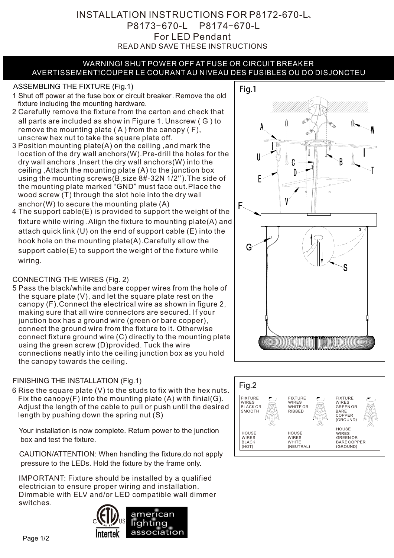## READ AND SAVE THESE INSTRUCTIONS For LED Pendant INSTALLATION INSTRUCTIONS FOR P8172-670-L、 P8173-670-L P8174-670-L

#### WARNING! SHUT POWER OFF AT FUSE OR CIRCUIT BREAKER AVERTISSEMENT!COUPER LE COURANT AU NIVEAU DES FUSIBLES OU DO DISJONCTEU

# ASSEMBLING THE FIXTURE (Fig.1) Fig.1

- 1 Shut off power at the fuse box or circuit breaker. Remove the old fixture including the mounting hardware.
- 2 Carefully remove the fixture from the carton and check that all parts are included as show in Figure 1. Unscrew ( G ) to remove the mounting plate  $(A)$  from the canopy  $(F)$ , unscrew hex nut to take the square plate off.
- 3 Position mounting plate(A) on the ceiling ,and mark the location of the dry wall anchors(W).Pre-drill the holes for the dry wall anchors ,Insert the dry wall anchors(W) into the ceiling ,Attach the mounting plate (A) to the junction box using the mounting screws(B,size 8#-32N 1/2'').The side of the mounting plate marked "GND" must face out.Place the wood screw (T) through the slot hole into the dry wall anchor(W) to secure the mounting plate (A)
- 4 The support cable(E) is provided to support the weight of the fixture while wiring .Align the fixture to mounting plate(A) and attach quick link (U) on the end of support cable (E) into the hook hole on the mounting plate(A).Carefully allow the support cable(E) to support the weight of the fixture while wiring.

# CONNECTING THE WIRES (Fig. 2)

5 Pass the black/white and bare copper wires from the hole of the square plate (V), and let the square plate rest on the canopy (F).Connect the electrical wire as shown in figure 2, making sure that all wire connectors are secured. If your junction box has a ground wire (green or bare copper), connect the ground wire from the fixture to it. Otherwise connect fixture ground wire (C) directly to the mounting plate using the green screw (D)provided. Tuck the wire connections neatly into the ceiling junction box as you hold the canopy towards the ceiling.

## FINISHING THE INSTALLATION (Fig.1)

6 Rise the square plate (V) to the studs to fix with the hex nuts. Fix the canopy $(F)$  into the mounting plate  $(A)$  with finial $(G)$ . Adjust the length of the cable to pull or push until the desired length by pushing down the spring nut (S)

Your installation is now complete. Return power to the junction box and test the fixture.

CAUTION/ATTENTION: When handling the fixture,do not apply pressure to the LEDs. Hold the fixture by the frame only.

IMPORTANT: Fixture should be installed by a qualified electrician to ensure proper wiring and installation. Dimmable with ELV and/or LED compatible wall dimmer switches.